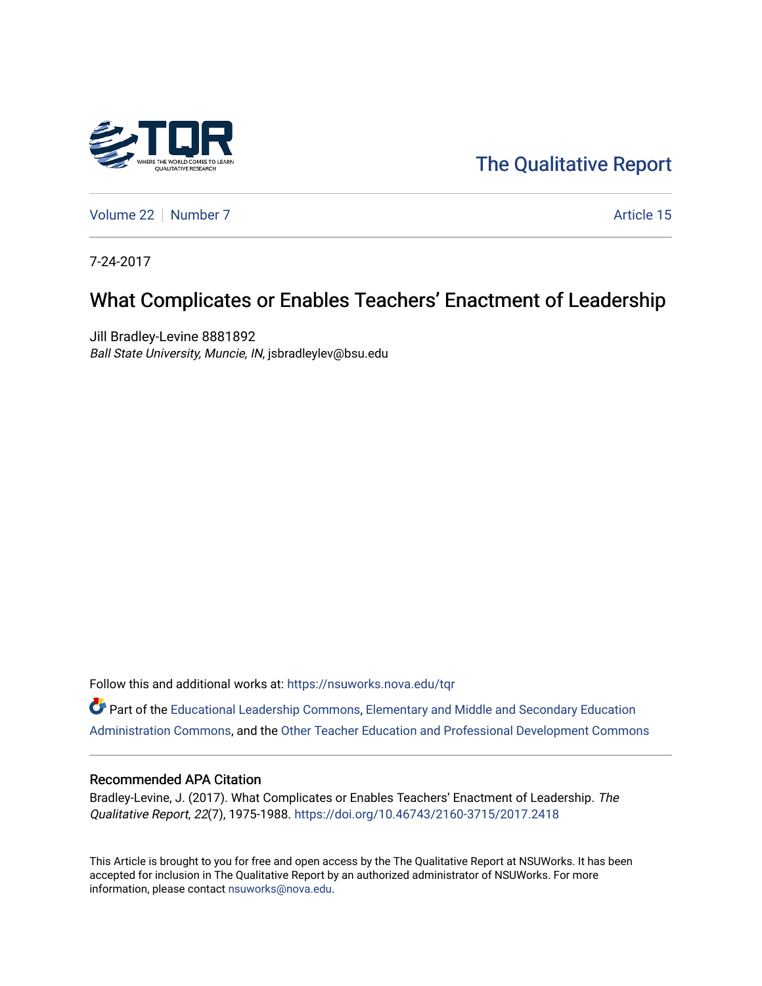

[The Qualitative Report](https://nsuworks.nova.edu/tqr) 

[Volume 22](https://nsuworks.nova.edu/tqr/vol22) [Number 7](https://nsuworks.nova.edu/tqr/vol22/iss7) Article 15

7-24-2017

# What Complicates or Enables Teachers' Enactment of Leadership

Jill Bradley-Levine 8881892 Ball State University, Muncie, IN, jsbradleylev@bsu.edu

Follow this and additional works at: [https://nsuworks.nova.edu/tqr](https://nsuworks.nova.edu/tqr?utm_source=nsuworks.nova.edu%2Ftqr%2Fvol22%2Fiss7%2F15&utm_medium=PDF&utm_campaign=PDFCoverPages) 

Part of the [Educational Leadership Commons,](http://network.bepress.com/hgg/discipline/1230?utm_source=nsuworks.nova.edu%2Ftqr%2Fvol22%2Fiss7%2F15&utm_medium=PDF&utm_campaign=PDFCoverPages) [Elementary and Middle and Secondary Education](http://network.bepress.com/hgg/discipline/790?utm_source=nsuworks.nova.edu%2Ftqr%2Fvol22%2Fiss7%2F15&utm_medium=PDF&utm_campaign=PDFCoverPages)  [Administration Commons,](http://network.bepress.com/hgg/discipline/790?utm_source=nsuworks.nova.edu%2Ftqr%2Fvol22%2Fiss7%2F15&utm_medium=PDF&utm_campaign=PDFCoverPages) and the [Other Teacher Education and Professional Development Commons](http://network.bepress.com/hgg/discipline/810?utm_source=nsuworks.nova.edu%2Ftqr%2Fvol22%2Fiss7%2F15&utm_medium=PDF&utm_campaign=PDFCoverPages) 

## Recommended APA Citation

Bradley-Levine, J. (2017). What Complicates or Enables Teachers' Enactment of Leadership. The Qualitative Report, 22(7), 1975-1988. <https://doi.org/10.46743/2160-3715/2017.2418>

This Article is brought to you for free and open access by the The Qualitative Report at NSUWorks. It has been accepted for inclusion in The Qualitative Report by an authorized administrator of NSUWorks. For more information, please contact [nsuworks@nova.edu.](mailto:nsuworks@nova.edu)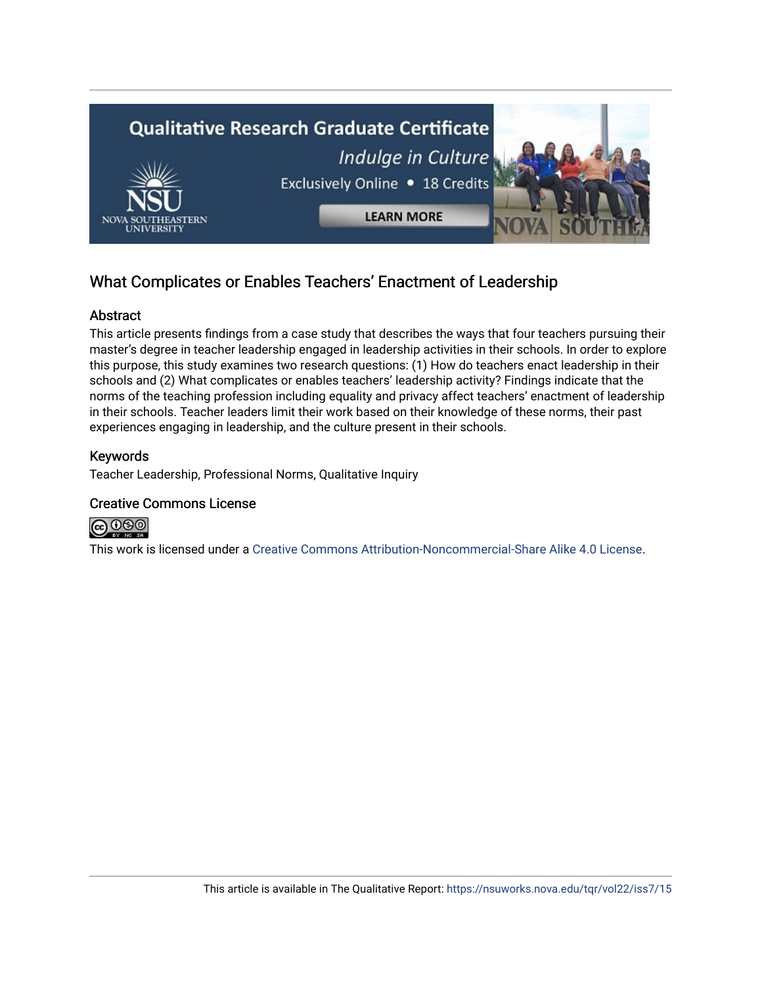

# What Complicates or Enables Teachers' Enactment of Leadership

# Abstract

This article presents findings from a case study that describes the ways that four teachers pursuing their master's degree in teacher leadership engaged in leadership activities in their schools. In order to explore this purpose, this study examines two research questions: (1) How do teachers enact leadership in their schools and (2) What complicates or enables teachers' leadership activity? Findings indicate that the norms of the teaching profession including equality and privacy affect teachers' enactment of leadership in their schools. Teacher leaders limit their work based on their knowledge of these norms, their past experiences engaging in leadership, and the culture present in their schools.

# Keywords

Teacher Leadership, Professional Norms, Qualitative Inquiry

# Creative Commons License



This work is licensed under a [Creative Commons Attribution-Noncommercial-Share Alike 4.0 License](https://creativecommons.org/licenses/by-nc-sa/4.0/).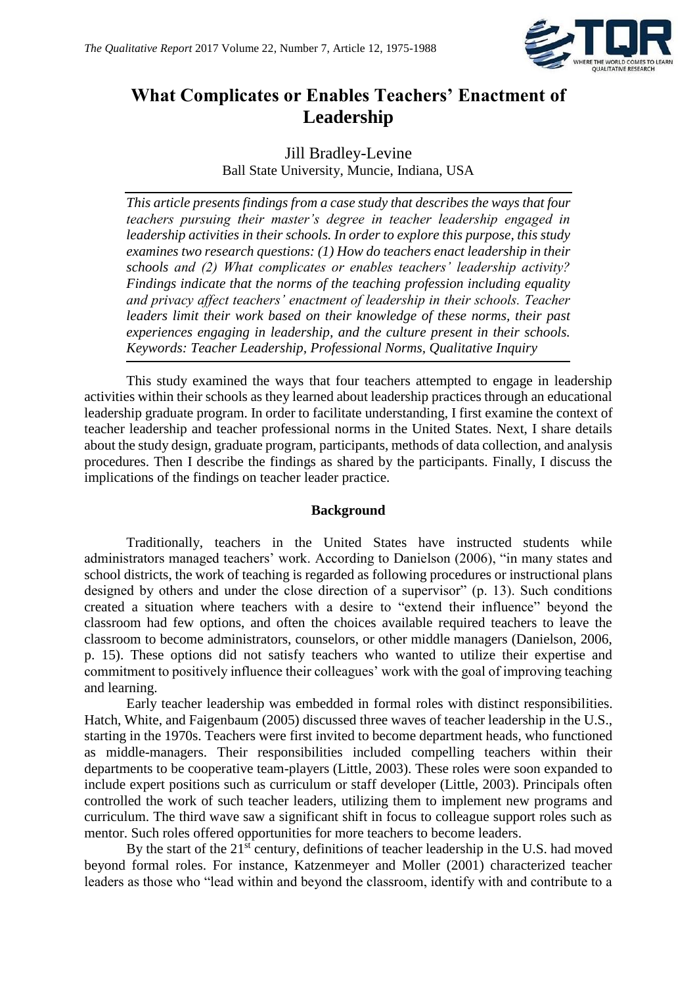

# **What Complicates or Enables Teachers' Enactment of Leadership**

# Jill Bradley-Levine Ball State University, Muncie, Indiana, USA

*This article presents findings from a case study that describes the ways that four teachers pursuing their master's degree in teacher leadership engaged in leadership activities in their schools. In order to explore this purpose, this study examines two research questions: (1) How do teachers enact leadership in their schools and (2) What complicates or enables teachers' leadership activity? Findings indicate that the norms of the teaching profession including equality and privacy affect teachers' enactment of leadership in their schools. Teacher leaders limit their work based on their knowledge of these norms, their past experiences engaging in leadership, and the culture present in their schools. Keywords: Teacher Leadership, Professional Norms, Qualitative Inquiry*

This study examined the ways that four teachers attempted to engage in leadership activities within their schools as they learned about leadership practices through an educational leadership graduate program. In order to facilitate understanding, I first examine the context of teacher leadership and teacher professional norms in the United States. Next, I share details about the study design, graduate program, participants, methods of data collection, and analysis procedures. Then I describe the findings as shared by the participants. Finally, I discuss the implications of the findings on teacher leader practice.

# **Background**

Traditionally, teachers in the United States have instructed students while administrators managed teachers' work. According to Danielson (2006), "in many states and school districts, the work of teaching is regarded as following procedures or instructional plans designed by others and under the close direction of a supervisor" (p. 13). Such conditions created a situation where teachers with a desire to "extend their influence" beyond the classroom had few options, and often the choices available required teachers to leave the classroom to become administrators, counselors, or other middle managers (Danielson, 2006, p. 15). These options did not satisfy teachers who wanted to utilize their expertise and commitment to positively influence their colleagues' work with the goal of improving teaching and learning.

Early teacher leadership was embedded in formal roles with distinct responsibilities. Hatch, White, and Faigenbaum (2005) discussed three waves of teacher leadership in the U.S., starting in the 1970s. Teachers were first invited to become department heads, who functioned as middle-managers. Their responsibilities included compelling teachers within their departments to be cooperative team-players (Little, 2003). These roles were soon expanded to include expert positions such as curriculum or staff developer (Little, 2003). Principals often controlled the work of such teacher leaders, utilizing them to implement new programs and curriculum. The third wave saw a significant shift in focus to colleague support roles such as mentor. Such roles offered opportunities for more teachers to become leaders.

By the start of the  $21<sup>st</sup>$  century, definitions of teacher leadership in the U.S. had moved beyond formal roles. For instance, Katzenmeyer and Moller (2001) characterized teacher leaders as those who "lead within and beyond the classroom, identify with and contribute to a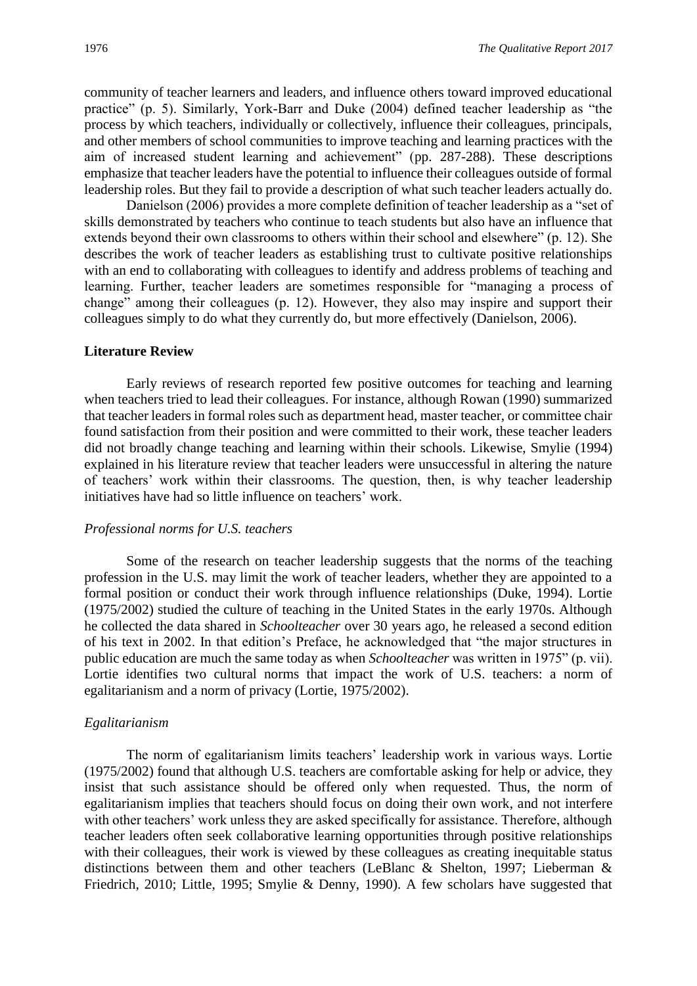community of teacher learners and leaders, and influence others toward improved educational practice" (p. 5). Similarly, York-Barr and Duke (2004) defined teacher leadership as "the process by which teachers, individually or collectively, influence their colleagues, principals, and other members of school communities to improve teaching and learning practices with the aim of increased student learning and achievement" (pp. 287-288). These descriptions emphasize that teacher leaders have the potential to influence their colleagues outside of formal leadership roles. But they fail to provide a description of what such teacher leaders actually do.

Danielson (2006) provides a more complete definition of teacher leadership as a "set of skills demonstrated by teachers who continue to teach students but also have an influence that extends beyond their own classrooms to others within their school and elsewhere" (p. 12). She describes the work of teacher leaders as establishing trust to cultivate positive relationships with an end to collaborating with colleagues to identify and address problems of teaching and learning. Further, teacher leaders are sometimes responsible for "managing a process of change" among their colleagues (p. 12). However, they also may inspire and support their colleagues simply to do what they currently do, but more effectively (Danielson, 2006).

## **Literature Review**

Early reviews of research reported few positive outcomes for teaching and learning when teachers tried to lead their colleagues. For instance, although Rowan (1990) summarized that teacher leaders in formal roles such as department head, master teacher, or committee chair found satisfaction from their position and were committed to their work, these teacher leaders did not broadly change teaching and learning within their schools. Likewise, Smylie (1994) explained in his literature review that teacher leaders were unsuccessful in altering the nature of teachers' work within their classrooms. The question, then, is why teacher leadership initiatives have had so little influence on teachers' work.

#### *Professional norms for U.S. teachers*

Some of the research on teacher leadership suggests that the norms of the teaching profession in the U.S. may limit the work of teacher leaders, whether they are appointed to a formal position or conduct their work through influence relationships (Duke, 1994). Lortie (1975/2002) studied the culture of teaching in the United States in the early 1970s. Although he collected the data shared in *Schoolteacher* over 30 years ago, he released a second edition of his text in 2002. In that edition's Preface, he acknowledged that "the major structures in public education are much the same today as when *Schoolteacher* was written in 1975" (p. vii). Lortie identifies two cultural norms that impact the work of U.S. teachers: a norm of egalitarianism and a norm of privacy (Lortie, 1975/2002).

## *Egalitarianism*

The norm of egalitarianism limits teachers' leadership work in various ways. Lortie (1975/2002) found that although U.S. teachers are comfortable asking for help or advice, they insist that such assistance should be offered only when requested. Thus, the norm of egalitarianism implies that teachers should focus on doing their own work, and not interfere with other teachers' work unless they are asked specifically for assistance. Therefore, although teacher leaders often seek collaborative learning opportunities through positive relationships with their colleagues, their work is viewed by these colleagues as creating inequitable status distinctions between them and other teachers (LeBlanc & Shelton, 1997; Lieberman & Friedrich, 2010; Little, 1995; Smylie & Denny, 1990). A few scholars have suggested that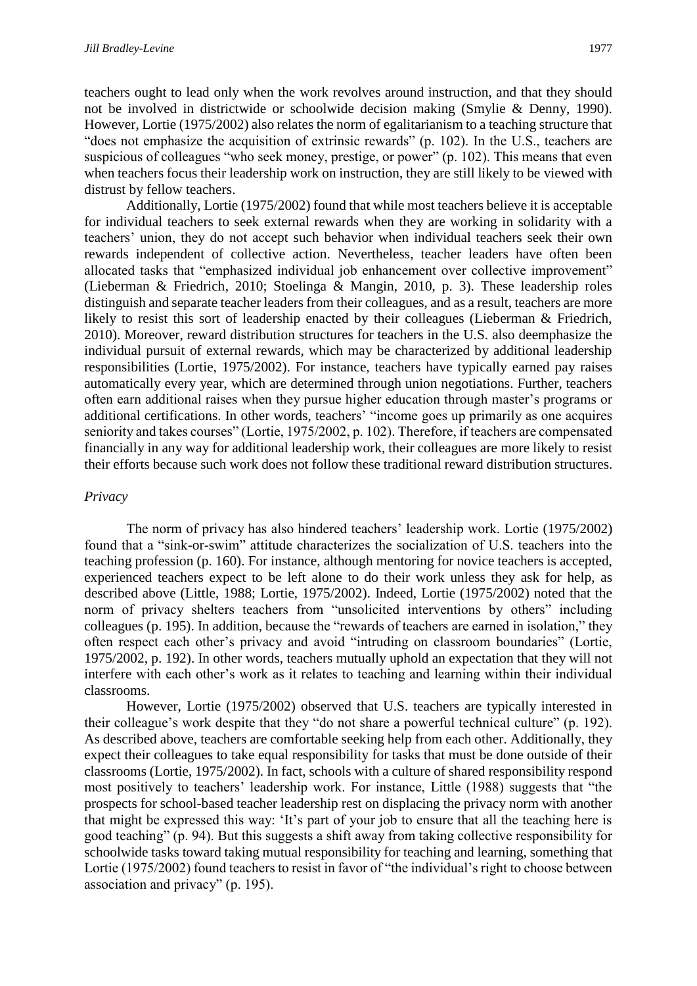teachers ought to lead only when the work revolves around instruction, and that they should not be involved in districtwide or schoolwide decision making (Smylie & Denny, 1990). However, Lortie (1975/2002) also relates the norm of egalitarianism to a teaching structure that "does not emphasize the acquisition of extrinsic rewards" (p. 102). In the U.S., teachers are suspicious of colleagues "who seek money, prestige, or power" (p. 102). This means that even when teachers focus their leadership work on instruction, they are still likely to be viewed with distrust by fellow teachers.

Additionally, Lortie (1975/2002) found that while most teachers believe it is acceptable for individual teachers to seek external rewards when they are working in solidarity with a teachers' union, they do not accept such behavior when individual teachers seek their own rewards independent of collective action. Nevertheless, teacher leaders have often been allocated tasks that "emphasized individual job enhancement over collective improvement" (Lieberman & Friedrich, 2010; Stoelinga & Mangin, 2010, p. 3). These leadership roles distinguish and separate teacher leaders from their colleagues, and as a result, teachers are more likely to resist this sort of leadership enacted by their colleagues (Lieberman & Friedrich, 2010). Moreover, reward distribution structures for teachers in the U.S. also deemphasize the individual pursuit of external rewards, which may be characterized by additional leadership responsibilities (Lortie, 1975/2002). For instance, teachers have typically earned pay raises automatically every year, which are determined through union negotiations. Further, teachers often earn additional raises when they pursue higher education through master's programs or additional certifications. In other words, teachers' "income goes up primarily as one acquires seniority and takes courses" (Lortie, 1975/2002, p. 102). Therefore, if teachers are compensated financially in any way for additional leadership work, their colleagues are more likely to resist their efforts because such work does not follow these traditional reward distribution structures.

# *Privacy*

The norm of privacy has also hindered teachers' leadership work. Lortie (1975/2002) found that a "sink-or-swim" attitude characterizes the socialization of U.S. teachers into the teaching profession (p. 160). For instance, although mentoring for novice teachers is accepted, experienced teachers expect to be left alone to do their work unless they ask for help, as described above (Little, 1988; Lortie, 1975/2002). Indeed, Lortie (1975/2002) noted that the norm of privacy shelters teachers from "unsolicited interventions by others" including colleagues (p. 195). In addition, because the "rewards of teachers are earned in isolation," they often respect each other's privacy and avoid "intruding on classroom boundaries" (Lortie, 1975/2002, p. 192). In other words, teachers mutually uphold an expectation that they will not interfere with each other's work as it relates to teaching and learning within their individual classrooms.

However, Lortie (1975/2002) observed that U.S. teachers are typically interested in their colleague's work despite that they "do not share a powerful technical culture" (p. 192). As described above, teachers are comfortable seeking help from each other. Additionally, they expect their colleagues to take equal responsibility for tasks that must be done outside of their classrooms (Lortie, 1975/2002). In fact, schools with a culture of shared responsibility respond most positively to teachers' leadership work. For instance, Little (1988) suggests that "the prospects for school-based teacher leadership rest on displacing the privacy norm with another that might be expressed this way: 'It's part of your job to ensure that all the teaching here is good teaching" (p. 94). But this suggests a shift away from taking collective responsibility for schoolwide tasks toward taking mutual responsibility for teaching and learning, something that Lortie (1975/2002) found teachers to resist in favor of "the individual's right to choose between association and privacy" (p. 195).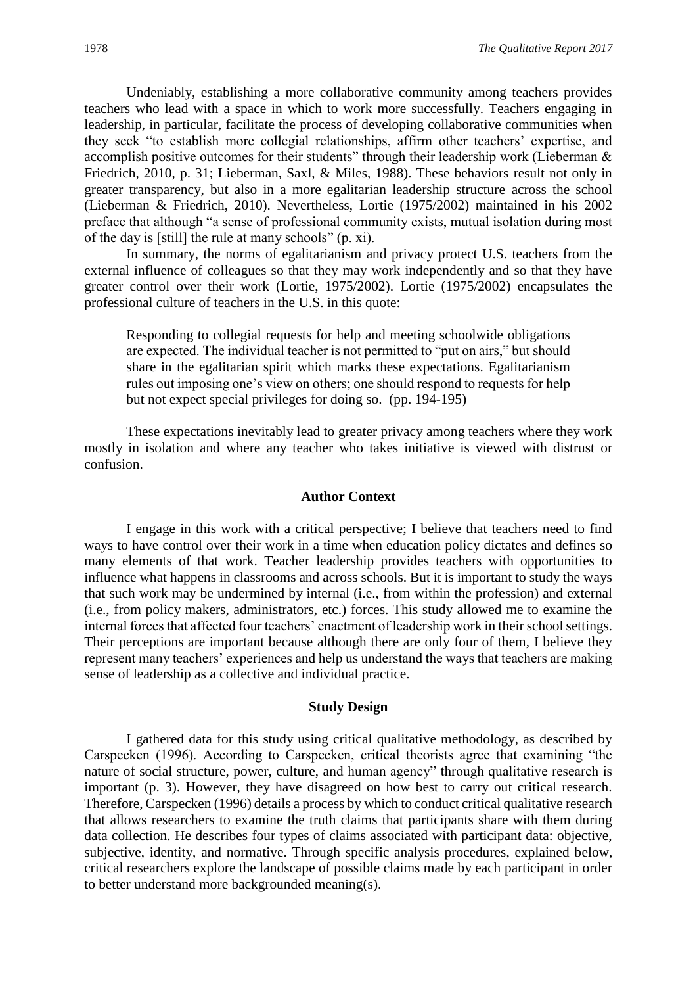Undeniably, establishing a more collaborative community among teachers provides teachers who lead with a space in which to work more successfully. Teachers engaging in leadership, in particular, facilitate the process of developing collaborative communities when they seek "to establish more collegial relationships, affirm other teachers' expertise, and accomplish positive outcomes for their students" through their leadership work (Lieberman & Friedrich, 2010, p. 31; Lieberman, Saxl, & Miles, 1988). These behaviors result not only in greater transparency, but also in a more egalitarian leadership structure across the school (Lieberman & Friedrich, 2010). Nevertheless, Lortie (1975/2002) maintained in his 2002 preface that although "a sense of professional community exists, mutual isolation during most of the day is [still] the rule at many schools" (p. xi).

In summary, the norms of egalitarianism and privacy protect U.S. teachers from the external influence of colleagues so that they may work independently and so that they have greater control over their work (Lortie, 1975/2002). Lortie (1975/2002) encapsulates the professional culture of teachers in the U.S. in this quote:

Responding to collegial requests for help and meeting schoolwide obligations are expected. The individual teacher is not permitted to "put on airs," but should share in the egalitarian spirit which marks these expectations. Egalitarianism rules out imposing one's view on others; one should respond to requests for help but not expect special privileges for doing so. (pp. 194-195)

These expectations inevitably lead to greater privacy among teachers where they work mostly in isolation and where any teacher who takes initiative is viewed with distrust or confusion.

#### **Author Context**

I engage in this work with a critical perspective; I believe that teachers need to find ways to have control over their work in a time when education policy dictates and defines so many elements of that work. Teacher leadership provides teachers with opportunities to influence what happens in classrooms and across schools. But it is important to study the ways that such work may be undermined by internal (i.e., from within the profession) and external (i.e., from policy makers, administrators, etc.) forces. This study allowed me to examine the internal forces that affected four teachers' enactment of leadership work in their school settings. Their perceptions are important because although there are only four of them, I believe they represent many teachers' experiences and help us understand the ways that teachers are making sense of leadership as a collective and individual practice.

## **Study Design**

I gathered data for this study using critical qualitative methodology, as described by Carspecken (1996). According to Carspecken, critical theorists agree that examining "the nature of social structure, power, culture, and human agency" through qualitative research is important (p. 3). However, they have disagreed on how best to carry out critical research. Therefore, Carspecken (1996) details a process by which to conduct critical qualitative research that allows researchers to examine the truth claims that participants share with them during data collection. He describes four types of claims associated with participant data: objective, subjective, identity, and normative. Through specific analysis procedures, explained below, critical researchers explore the landscape of possible claims made by each participant in order to better understand more backgrounded meaning(s).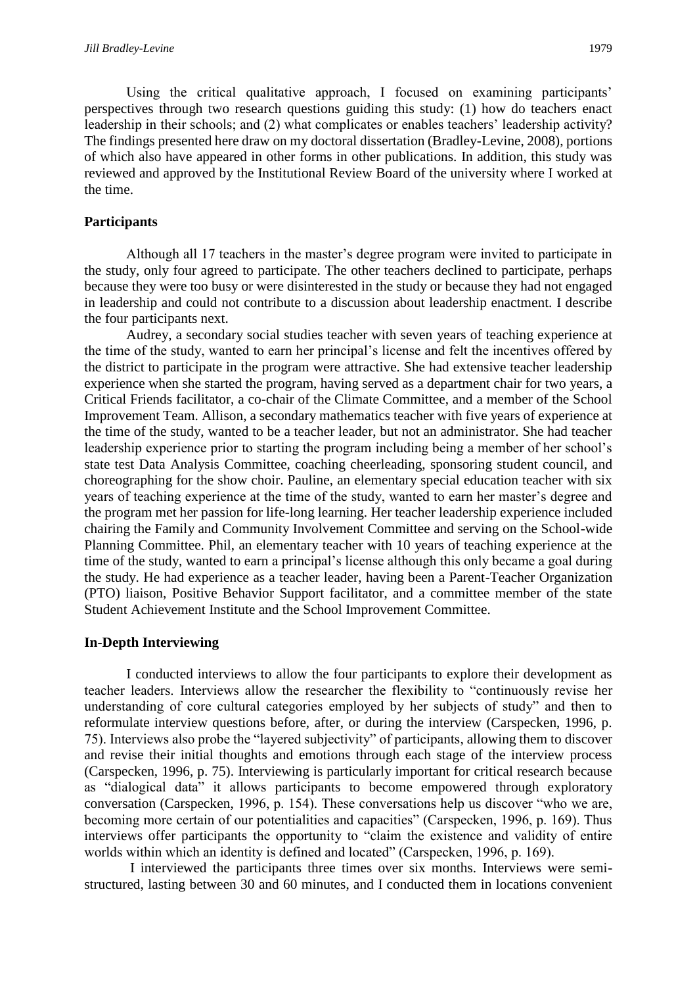Using the critical qualitative approach, I focused on examining participants' perspectives through two research questions guiding this study: (1) how do teachers enact leadership in their schools; and (2) what complicates or enables teachers' leadership activity? The findings presented here draw on my doctoral dissertation (Bradley-Levine, 2008), portions of which also have appeared in other forms in other publications. In addition, this study was reviewed and approved by the Institutional Review Board of the university where I worked at the time.

#### **Participants**

Although all 17 teachers in the master's degree program were invited to participate in the study, only four agreed to participate. The other teachers declined to participate, perhaps because they were too busy or were disinterested in the study or because they had not engaged in leadership and could not contribute to a discussion about leadership enactment. I describe the four participants next.

Audrey, a secondary social studies teacher with seven years of teaching experience at the time of the study, wanted to earn her principal's license and felt the incentives offered by the district to participate in the program were attractive. She had extensive teacher leadership experience when she started the program, having served as a department chair for two years, a Critical Friends facilitator, a co-chair of the Climate Committee, and a member of the School Improvement Team. Allison, a secondary mathematics teacher with five years of experience at the time of the study, wanted to be a teacher leader, but not an administrator. She had teacher leadership experience prior to starting the program including being a member of her school's state test Data Analysis Committee, coaching cheerleading, sponsoring student council, and choreographing for the show choir. Pauline, an elementary special education teacher with six years of teaching experience at the time of the study, wanted to earn her master's degree and the program met her passion for life-long learning. Her teacher leadership experience included chairing the Family and Community Involvement Committee and serving on the School-wide Planning Committee. Phil, an elementary teacher with 10 years of teaching experience at the time of the study, wanted to earn a principal's license although this only became a goal during the study. He had experience as a teacher leader, having been a Parent-Teacher Organization (PTO) liaison, Positive Behavior Support facilitator, and a committee member of the state Student Achievement Institute and the School Improvement Committee.

## **In-Depth Interviewing**

I conducted interviews to allow the four participants to explore their development as teacher leaders. Interviews allow the researcher the flexibility to "continuously revise her understanding of core cultural categories employed by her subjects of study" and then to reformulate interview questions before, after, or during the interview (Carspecken, 1996, p. 75). Interviews also probe the "layered subjectivity" of participants, allowing them to discover and revise their initial thoughts and emotions through each stage of the interview process (Carspecken, 1996, p. 75). Interviewing is particularly important for critical research because as "dialogical data" it allows participants to become empowered through exploratory conversation (Carspecken, 1996, p. 154). These conversations help us discover "who we are, becoming more certain of our potentialities and capacities" (Carspecken, 1996, p. 169). Thus interviews offer participants the opportunity to "claim the existence and validity of entire worlds within which an identity is defined and located" (Carspecken, 1996, p. 169).

I interviewed the participants three times over six months. Interviews were semistructured, lasting between 30 and 60 minutes, and I conducted them in locations convenient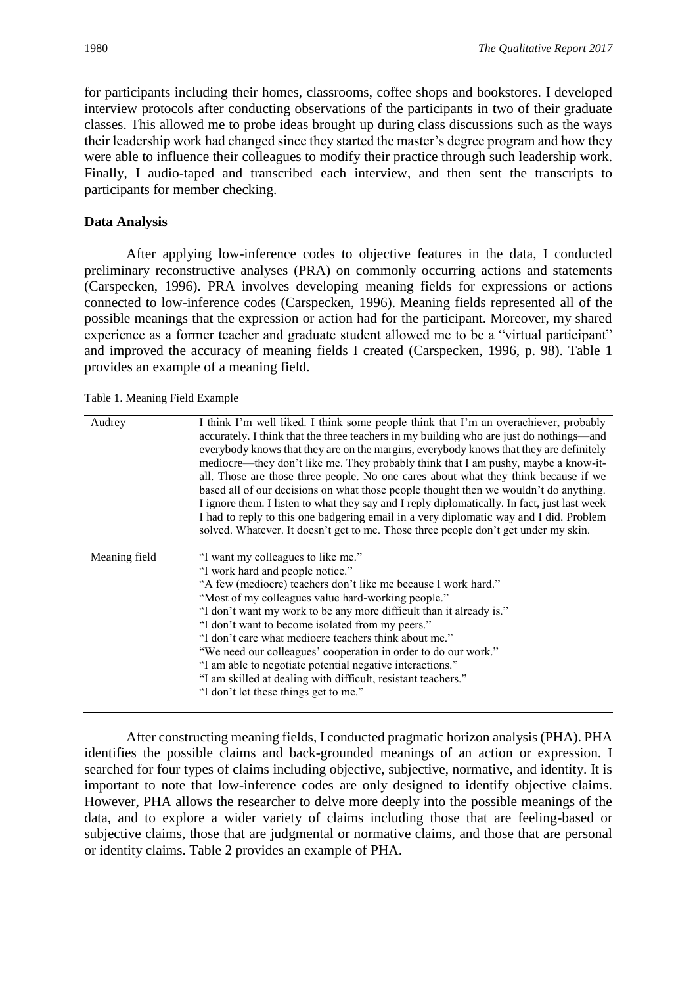for participants including their homes, classrooms, coffee shops and bookstores. I developed interview protocols after conducting observations of the participants in two of their graduate classes. This allowed me to probe ideas brought up during class discussions such as the ways their leadership work had changed since they started the master's degree program and how they were able to influence their colleagues to modify their practice through such leadership work. Finally, I audio-taped and transcribed each interview, and then sent the transcripts to participants for member checking.

# **Data Analysis**

After applying low-inference codes to objective features in the data, I conducted preliminary reconstructive analyses (PRA) on commonly occurring actions and statements (Carspecken, 1996). PRA involves developing meaning fields for expressions or actions connected to low-inference codes (Carspecken, 1996). Meaning fields represented all of the possible meanings that the expression or action had for the participant. Moreover, my shared experience as a former teacher and graduate student allowed me to be a "virtual participant" and improved the accuracy of meaning fields I created (Carspecken, 1996, p. 98). Table 1 provides an example of a meaning field.

| Audrey        | I think I'm well liked. I think some people think that I'm an overachiever, probably         |  |  |  |
|---------------|----------------------------------------------------------------------------------------------|--|--|--|
|               | accurately. I think that the three teachers in my building who are just do nothings—and      |  |  |  |
|               | everybody knows that they are on the margins, everybody knows that they are definitely       |  |  |  |
|               | mediocre—they don't like me. They probably think that I am pushy, maybe a know-it-           |  |  |  |
|               | all. Those are those three people. No one cares about what they think because if we          |  |  |  |
|               | based all of our decisions on what those people thought then we wouldn't do anything.        |  |  |  |
|               | I ignore them. I listen to what they say and I reply diplomatically. In fact, just last week |  |  |  |
|               | I had to reply to this one badgering email in a very diplomatic way and I did. Problem       |  |  |  |
|               | solved. Whatever. It doesn't get to me. Those three people don't get under my skin.          |  |  |  |
|               |                                                                                              |  |  |  |
| Meaning field | "I want my colleagues to like me."                                                           |  |  |  |
|               | "I work hard and people notice."                                                             |  |  |  |
|               | "A few (mediocre) teachers don't like me because I work hard."                               |  |  |  |
|               | "Most of my colleagues value hard-working people."                                           |  |  |  |
|               | "I don't want my work to be any more difficult than it already is."                          |  |  |  |
|               | "I don't want to become isolated from my peers."                                             |  |  |  |
|               | "I don't care what mediocre teachers think about me."                                        |  |  |  |
|               | "We need our colleagues' cooperation in order to do our work."                               |  |  |  |
|               | "I am able to negotiate potential negative interactions."                                    |  |  |  |
|               | "I am skilled at dealing with difficult, resistant teachers."                                |  |  |  |
|               | "I don't let these things get to me."                                                        |  |  |  |

Table 1. Meaning Field Example

After constructing meaning fields, I conducted pragmatic horizon analysis (PHA). PHA identifies the possible claims and back-grounded meanings of an action or expression. I searched for four types of claims including objective, subjective, normative, and identity. It is important to note that low-inference codes are only designed to identify objective claims. However, PHA allows the researcher to delve more deeply into the possible meanings of the data, and to explore a wider variety of claims including those that are feeling-based or subjective claims, those that are judgmental or normative claims, and those that are personal or identity claims. Table 2 provides an example of PHA.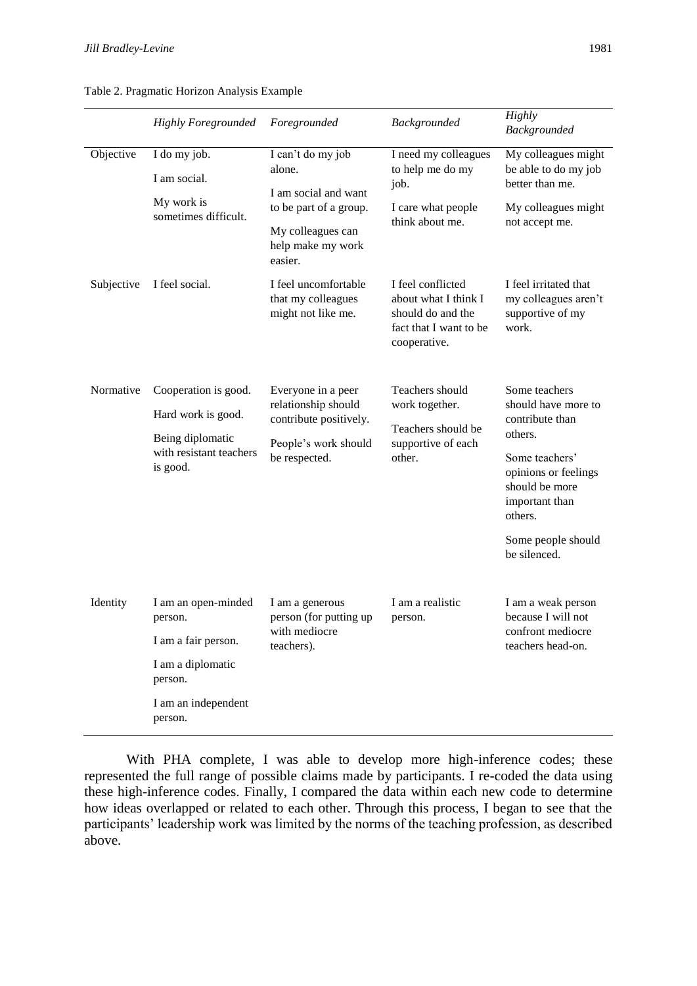|            | <b>Highly Foregrounded</b>                                                                                              | Foregrounded                                                                                                                       | Backgrounded                                                                                             | Highly<br>Backgrounded                                                                                                                                                                            |
|------------|-------------------------------------------------------------------------------------------------------------------------|------------------------------------------------------------------------------------------------------------------------------------|----------------------------------------------------------------------------------------------------------|---------------------------------------------------------------------------------------------------------------------------------------------------------------------------------------------------|
| Objective  | I do my job.<br>I am social.<br>My work is<br>sometimes difficult.                                                      | I can't do my job<br>alone.<br>I am social and want<br>to be part of a group.<br>My colleagues can<br>help make my work<br>easier. | I need my colleagues<br>to help me do my<br>job.<br>I care what people<br>think about me.                | My colleagues might<br>be able to do my job<br>better than me.<br>My colleagues might<br>not accept me.                                                                                           |
| Subjective | I feel social.                                                                                                          | I feel uncomfortable<br>that my colleagues<br>might not like me.                                                                   | I feel conflicted<br>about what I think I<br>should do and the<br>fact that I want to be<br>cooperative. | I feel irritated that<br>my colleagues aren't<br>supportive of my<br>work.                                                                                                                        |
| Normative  | Cooperation is good.<br>Hard work is good.<br>Being diplomatic<br>with resistant teachers<br>is good.                   | Everyone in a peer<br>relationship should<br>contribute positively.<br>People's work should<br>be respected.                       | Teachers should<br>work together.<br>Teachers should be<br>supportive of each<br>other.                  | Some teachers<br>should have more to<br>contribute than<br>others.<br>Some teachers'<br>opinions or feelings<br>should be more<br>important than<br>others.<br>Some people should<br>be silenced. |
| Identity   | I am an open-minded<br>person.<br>I am a fair person.<br>I am a diplomatic<br>person.<br>I am an independent<br>person. | I am a generous<br>person (for putting up<br>with mediocre<br>teachers).                                                           | I am a realistic<br>person.                                                                              | I am a weak person<br>because I will not<br>confront mediocre<br>teachers head-on.                                                                                                                |

#### Table 2. Pragmatic Horizon Analysis Example

With PHA complete, I was able to develop more high-inference codes; these represented the full range of possible claims made by participants. I re-coded the data using these high-inference codes. Finally, I compared the data within each new code to determine how ideas overlapped or related to each other. Through this process, I began to see that the participants' leadership work was limited by the norms of the teaching profession, as described above.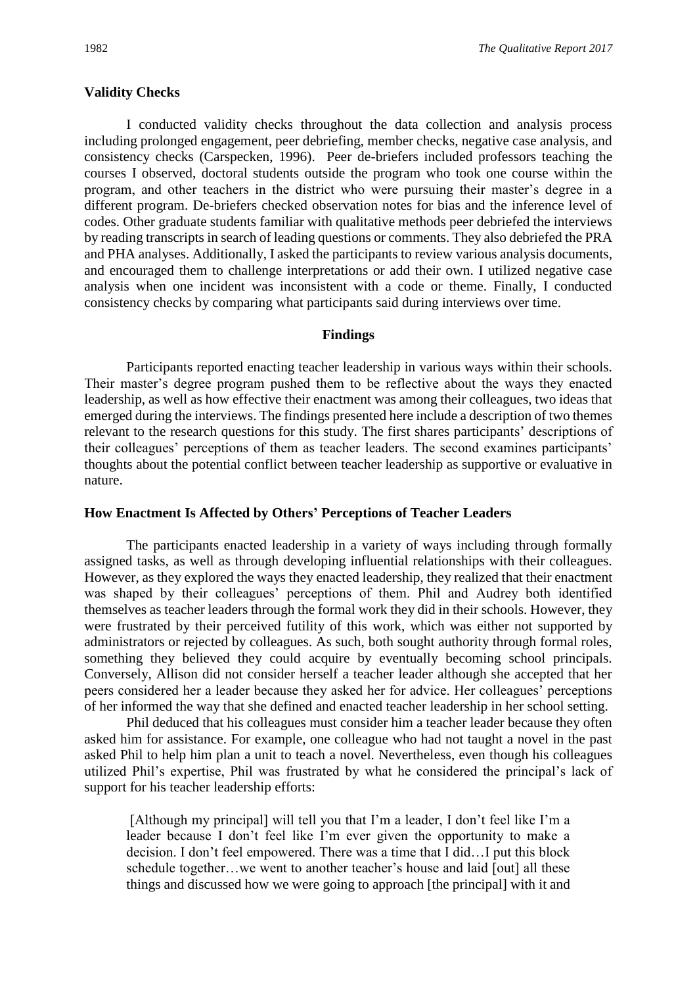## **Validity Checks**

I conducted validity checks throughout the data collection and analysis process including prolonged engagement, peer debriefing, member checks, negative case analysis, and consistency checks (Carspecken, 1996). Peer de-briefers included professors teaching the courses I observed, doctoral students outside the program who took one course within the program, and other teachers in the district who were pursuing their master's degree in a different program. De-briefers checked observation notes for bias and the inference level of codes. Other graduate students familiar with qualitative methods peer debriefed the interviews by reading transcripts in search of leading questions or comments. They also debriefed the PRA and PHA analyses. Additionally, I asked the participants to review various analysis documents, and encouraged them to challenge interpretations or add their own. I utilized negative case analysis when one incident was inconsistent with a code or theme. Finally, I conducted consistency checks by comparing what participants said during interviews over time.

#### **Findings**

Participants reported enacting teacher leadership in various ways within their schools. Their master's degree program pushed them to be reflective about the ways they enacted leadership, as well as how effective their enactment was among their colleagues, two ideas that emerged during the interviews. The findings presented here include a description of two themes relevant to the research questions for this study. The first shares participants' descriptions of their colleagues' perceptions of them as teacher leaders. The second examines participants' thoughts about the potential conflict between teacher leadership as supportive or evaluative in nature.

#### **How Enactment Is Affected by Others' Perceptions of Teacher Leaders**

The participants enacted leadership in a variety of ways including through formally assigned tasks, as well as through developing influential relationships with their colleagues. However, as they explored the ways they enacted leadership, they realized that their enactment was shaped by their colleagues' perceptions of them. Phil and Audrey both identified themselves as teacher leaders through the formal work they did in their schools. However, they were frustrated by their perceived futility of this work, which was either not supported by administrators or rejected by colleagues. As such, both sought authority through formal roles, something they believed they could acquire by eventually becoming school principals. Conversely, Allison did not consider herself a teacher leader although she accepted that her peers considered her a leader because they asked her for advice. Her colleagues' perceptions of her informed the way that she defined and enacted teacher leadership in her school setting.

Phil deduced that his colleagues must consider him a teacher leader because they often asked him for assistance. For example, one colleague who had not taught a novel in the past asked Phil to help him plan a unit to teach a novel. Nevertheless, even though his colleagues utilized Phil's expertise, Phil was frustrated by what he considered the principal's lack of support for his teacher leadership efforts:

[Although my principal] will tell you that I'm a leader, I don't feel like I'm a leader because I don't feel like I'm ever given the opportunity to make a decision. I don't feel empowered. There was a time that I did…I put this block schedule together…we went to another teacher's house and laid [out] all these things and discussed how we were going to approach [the principal] with it and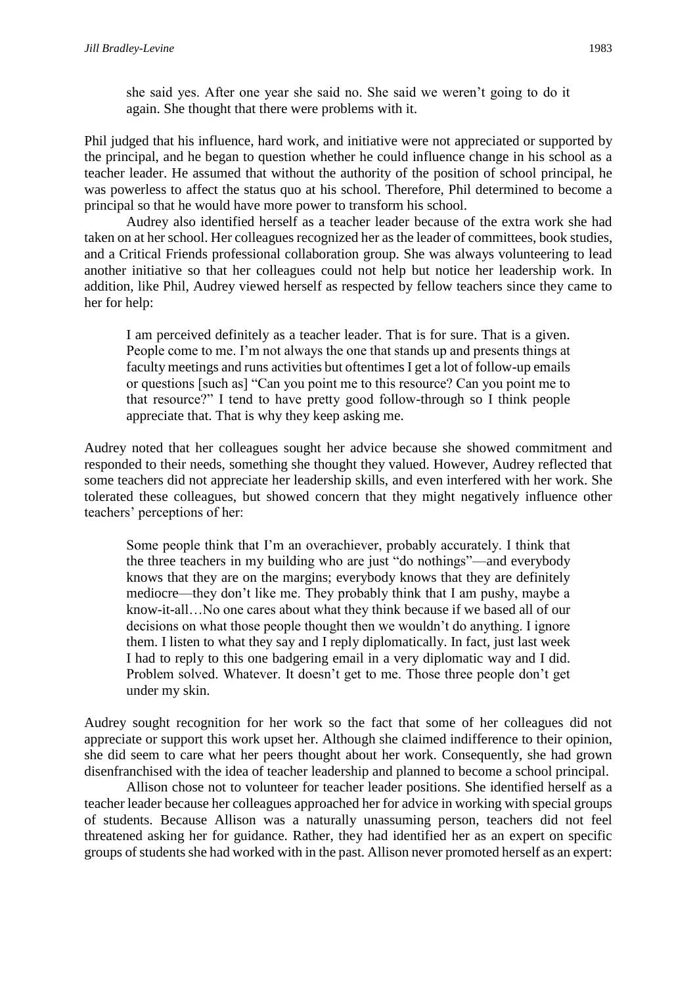she said yes. After one year she said no. She said we weren't going to do it again. She thought that there were problems with it.

Phil judged that his influence, hard work, and initiative were not appreciated or supported by the principal, and he began to question whether he could influence change in his school as a teacher leader. He assumed that without the authority of the position of school principal, he was powerless to affect the status quo at his school. Therefore, Phil determined to become a principal so that he would have more power to transform his school.

Audrey also identified herself as a teacher leader because of the extra work she had taken on at her school. Her colleagues recognized her as the leader of committees, book studies, and a Critical Friends professional collaboration group. She was always volunteering to lead another initiative so that her colleagues could not help but notice her leadership work. In addition, like Phil, Audrey viewed herself as respected by fellow teachers since they came to her for help:

I am perceived definitely as a teacher leader. That is for sure. That is a given. People come to me. I'm not always the one that stands up and presents things at faculty meetings and runs activities but oftentimes I get a lot of follow-up emails or questions [such as] "Can you point me to this resource? Can you point me to that resource?" I tend to have pretty good follow-through so I think people appreciate that. That is why they keep asking me.

Audrey noted that her colleagues sought her advice because she showed commitment and responded to their needs, something she thought they valued. However, Audrey reflected that some teachers did not appreciate her leadership skills, and even interfered with her work. She tolerated these colleagues, but showed concern that they might negatively influence other teachers' perceptions of her:

Some people think that I'm an overachiever, probably accurately. I think that the three teachers in my building who are just "do nothings"—and everybody knows that they are on the margins; everybody knows that they are definitely mediocre—they don't like me. They probably think that I am pushy, maybe a know-it-all…No one cares about what they think because if we based all of our decisions on what those people thought then we wouldn't do anything. I ignore them. I listen to what they say and I reply diplomatically. In fact, just last week I had to reply to this one badgering email in a very diplomatic way and I did. Problem solved. Whatever. It doesn't get to me. Those three people don't get under my skin.

Audrey sought recognition for her work so the fact that some of her colleagues did not appreciate or support this work upset her. Although she claimed indifference to their opinion, she did seem to care what her peers thought about her work. Consequently, she had grown disenfranchised with the idea of teacher leadership and planned to become a school principal.

Allison chose not to volunteer for teacher leader positions. She identified herself as a teacher leader because her colleagues approached her for advice in working with special groups of students. Because Allison was a naturally unassuming person, teachers did not feel threatened asking her for guidance. Rather, they had identified her as an expert on specific groups of students she had worked with in the past. Allison never promoted herself as an expert: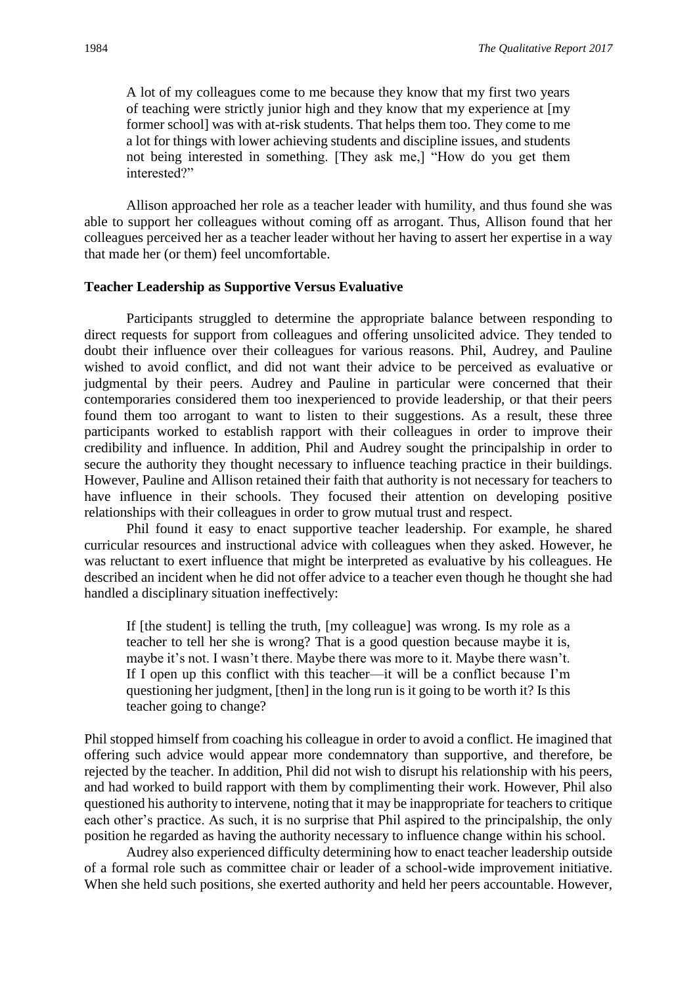A lot of my colleagues come to me because they know that my first two years of teaching were strictly junior high and they know that my experience at [my former school] was with at-risk students. That helps them too. They come to me a lot for things with lower achieving students and discipline issues, and students not being interested in something. [They ask me,] "How do you get them interested?"

Allison approached her role as a teacher leader with humility, and thus found she was able to support her colleagues without coming off as arrogant. Thus, Allison found that her colleagues perceived her as a teacher leader without her having to assert her expertise in a way that made her (or them) feel uncomfortable.

## **Teacher Leadership as Supportive Versus Evaluative**

Participants struggled to determine the appropriate balance between responding to direct requests for support from colleagues and offering unsolicited advice. They tended to doubt their influence over their colleagues for various reasons. Phil, Audrey, and Pauline wished to avoid conflict, and did not want their advice to be perceived as evaluative or judgmental by their peers. Audrey and Pauline in particular were concerned that their contemporaries considered them too inexperienced to provide leadership, or that their peers found them too arrogant to want to listen to their suggestions. As a result, these three participants worked to establish rapport with their colleagues in order to improve their credibility and influence. In addition, Phil and Audrey sought the principalship in order to secure the authority they thought necessary to influence teaching practice in their buildings. However, Pauline and Allison retained their faith that authority is not necessary for teachers to have influence in their schools. They focused their attention on developing positive relationships with their colleagues in order to grow mutual trust and respect.

Phil found it easy to enact supportive teacher leadership. For example, he shared curricular resources and instructional advice with colleagues when they asked. However, he was reluctant to exert influence that might be interpreted as evaluative by his colleagues. He described an incident when he did not offer advice to a teacher even though he thought she had handled a disciplinary situation ineffectively:

If [the student] is telling the truth, [my colleague] was wrong. Is my role as a teacher to tell her she is wrong? That is a good question because maybe it is, maybe it's not. I wasn't there. Maybe there was more to it. Maybe there wasn't. If I open up this conflict with this teacher—it will be a conflict because I'm questioning her judgment, [then] in the long run is it going to be worth it? Is this teacher going to change?

Phil stopped himself from coaching his colleague in order to avoid a conflict. He imagined that offering such advice would appear more condemnatory than supportive, and therefore, be rejected by the teacher. In addition, Phil did not wish to disrupt his relationship with his peers, and had worked to build rapport with them by complimenting their work. However, Phil also questioned his authority to intervene, noting that it may be inappropriate for teachers to critique each other's practice. As such, it is no surprise that Phil aspired to the principalship, the only position he regarded as having the authority necessary to influence change within his school.

Audrey also experienced difficulty determining how to enact teacher leadership outside of a formal role such as committee chair or leader of a school-wide improvement initiative. When she held such positions, she exerted authority and held her peers accountable. However,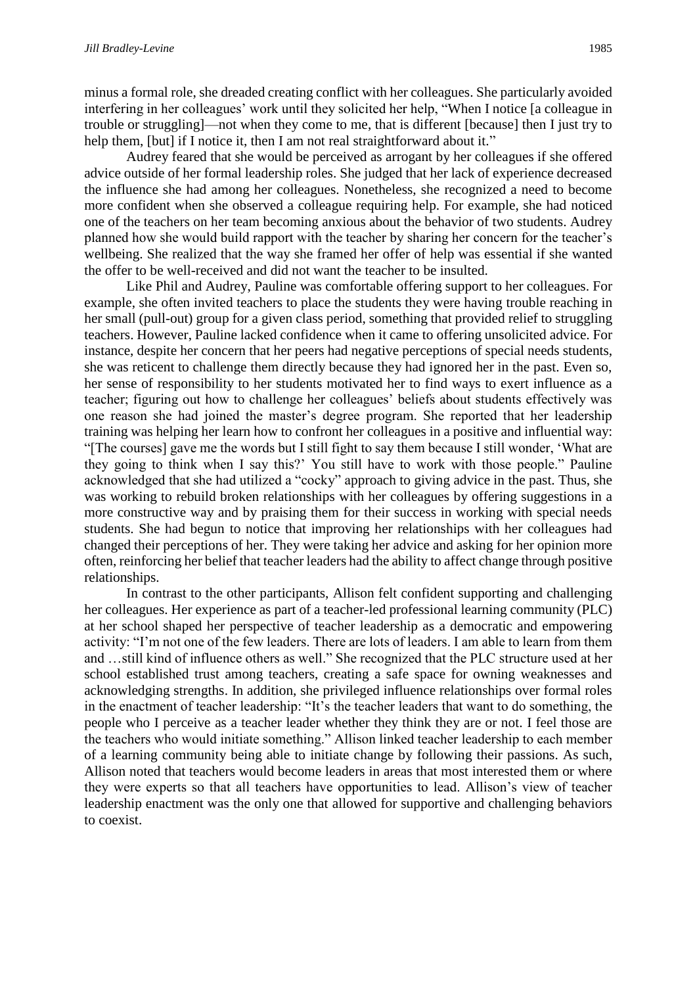minus a formal role, she dreaded creating conflict with her colleagues. She particularly avoided interfering in her colleagues' work until they solicited her help, "When I notice [a colleague in trouble or struggling]—not when they come to me, that is different [because] then I just try to help them, [but] if I notice it, then I am not real straightforward about it."

Audrey feared that she would be perceived as arrogant by her colleagues if she offered advice outside of her formal leadership roles. She judged that her lack of experience decreased the influence she had among her colleagues. Nonetheless, she recognized a need to become more confident when she observed a colleague requiring help. For example, she had noticed one of the teachers on her team becoming anxious about the behavior of two students. Audrey planned how she would build rapport with the teacher by sharing her concern for the teacher's wellbeing. She realized that the way she framed her offer of help was essential if she wanted the offer to be well-received and did not want the teacher to be insulted.

Like Phil and Audrey, Pauline was comfortable offering support to her colleagues. For example, she often invited teachers to place the students they were having trouble reaching in her small (pull-out) group for a given class period, something that provided relief to struggling teachers. However, Pauline lacked confidence when it came to offering unsolicited advice. For instance, despite her concern that her peers had negative perceptions of special needs students, she was reticent to challenge them directly because they had ignored her in the past. Even so, her sense of responsibility to her students motivated her to find ways to exert influence as a teacher; figuring out how to challenge her colleagues' beliefs about students effectively was one reason she had joined the master's degree program. She reported that her leadership training was helping her learn how to confront her colleagues in a positive and influential way: "[The courses] gave me the words but I still fight to say them because I still wonder, 'What are they going to think when I say this?' You still have to work with those people." Pauline acknowledged that she had utilized a "cocky" approach to giving advice in the past. Thus, she was working to rebuild broken relationships with her colleagues by offering suggestions in a more constructive way and by praising them for their success in working with special needs students. She had begun to notice that improving her relationships with her colleagues had changed their perceptions of her. They were taking her advice and asking for her opinion more often, reinforcing her belief that teacher leaders had the ability to affect change through positive relationships.

In contrast to the other participants, Allison felt confident supporting and challenging her colleagues. Her experience as part of a teacher-led professional learning community (PLC) at her school shaped her perspective of teacher leadership as a democratic and empowering activity: "I'm not one of the few leaders. There are lots of leaders. I am able to learn from them and …still kind of influence others as well." She recognized that the PLC structure used at her school established trust among teachers, creating a safe space for owning weaknesses and acknowledging strengths. In addition, she privileged influence relationships over formal roles in the enactment of teacher leadership: "It's the teacher leaders that want to do something, the people who I perceive as a teacher leader whether they think they are or not. I feel those are the teachers who would initiate something." Allison linked teacher leadership to each member of a learning community being able to initiate change by following their passions. As such, Allison noted that teachers would become leaders in areas that most interested them or where they were experts so that all teachers have opportunities to lead. Allison's view of teacher leadership enactment was the only one that allowed for supportive and challenging behaviors to coexist.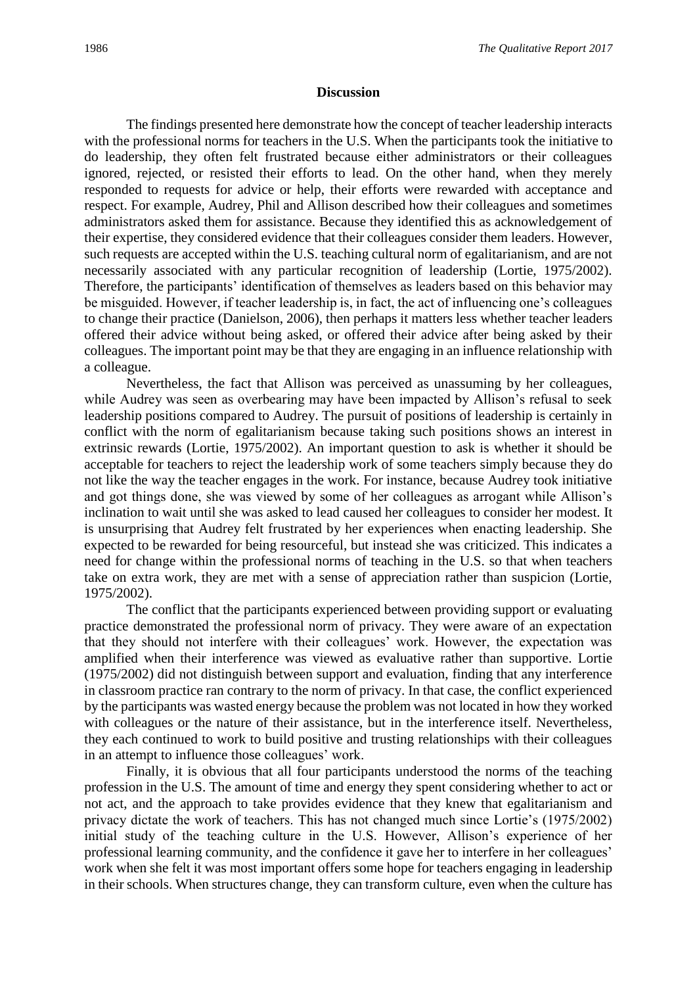## **Discussion**

The findings presented here demonstrate how the concept of teacher leadership interacts with the professional norms for teachers in the U.S. When the participants took the initiative to do leadership, they often felt frustrated because either administrators or their colleagues ignored, rejected, or resisted their efforts to lead. On the other hand, when they merely responded to requests for advice or help, their efforts were rewarded with acceptance and respect. For example, Audrey, Phil and Allison described how their colleagues and sometimes administrators asked them for assistance. Because they identified this as acknowledgement of their expertise, they considered evidence that their colleagues consider them leaders. However, such requests are accepted within the U.S. teaching cultural norm of egalitarianism, and are not necessarily associated with any particular recognition of leadership (Lortie, 1975/2002). Therefore, the participants' identification of themselves as leaders based on this behavior may be misguided. However, if teacher leadership is, in fact, the act of influencing one's colleagues to change their practice (Danielson, 2006), then perhaps it matters less whether teacher leaders offered their advice without being asked, or offered their advice after being asked by their colleagues. The important point may be that they are engaging in an influence relationship with a colleague.

Nevertheless, the fact that Allison was perceived as unassuming by her colleagues, while Audrey was seen as overbearing may have been impacted by Allison's refusal to seek leadership positions compared to Audrey. The pursuit of positions of leadership is certainly in conflict with the norm of egalitarianism because taking such positions shows an interest in extrinsic rewards (Lortie, 1975/2002). An important question to ask is whether it should be acceptable for teachers to reject the leadership work of some teachers simply because they do not like the way the teacher engages in the work. For instance, because Audrey took initiative and got things done, she was viewed by some of her colleagues as arrogant while Allison's inclination to wait until she was asked to lead caused her colleagues to consider her modest. It is unsurprising that Audrey felt frustrated by her experiences when enacting leadership. She expected to be rewarded for being resourceful, but instead she was criticized. This indicates a need for change within the professional norms of teaching in the U.S. so that when teachers take on extra work, they are met with a sense of appreciation rather than suspicion (Lortie, 1975/2002).

The conflict that the participants experienced between providing support or evaluating practice demonstrated the professional norm of privacy. They were aware of an expectation that they should not interfere with their colleagues' work. However, the expectation was amplified when their interference was viewed as evaluative rather than supportive. Lortie (1975/2002) did not distinguish between support and evaluation, finding that any interference in classroom practice ran contrary to the norm of privacy. In that case, the conflict experienced by the participants was wasted energy because the problem was not located in how they worked with colleagues or the nature of their assistance, but in the interference itself. Nevertheless, they each continued to work to build positive and trusting relationships with their colleagues in an attempt to influence those colleagues' work.

Finally, it is obvious that all four participants understood the norms of the teaching profession in the U.S. The amount of time and energy they spent considering whether to act or not act, and the approach to take provides evidence that they knew that egalitarianism and privacy dictate the work of teachers. This has not changed much since Lortie's (1975/2002) initial study of the teaching culture in the U.S. However, Allison's experience of her professional learning community, and the confidence it gave her to interfere in her colleagues' work when she felt it was most important offers some hope for teachers engaging in leadership in their schools. When structures change, they can transform culture, even when the culture has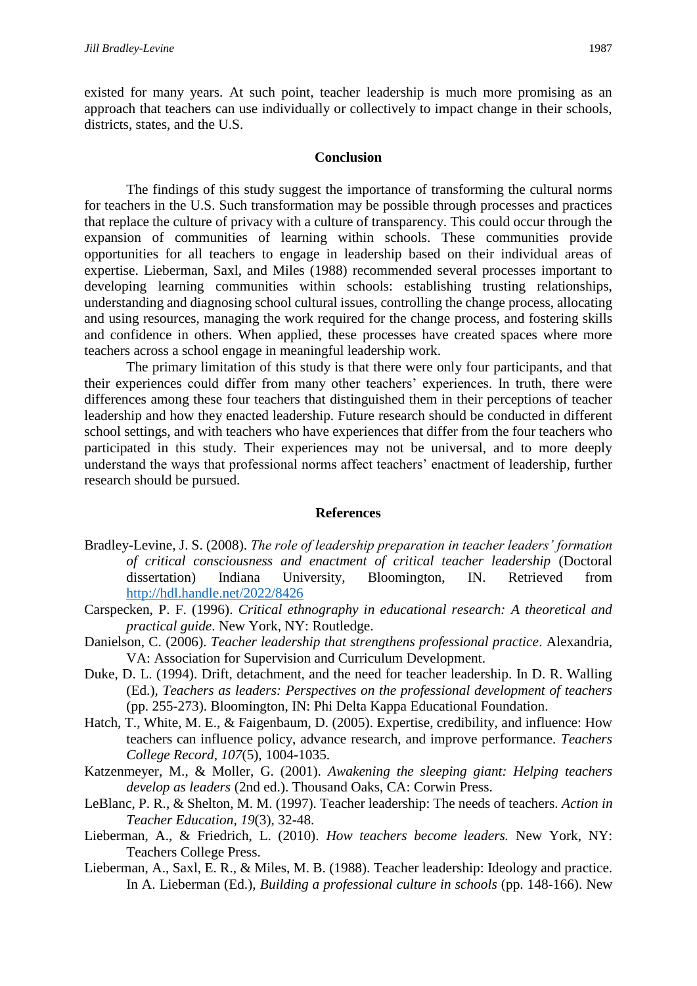# **Conclusion**

The findings of this study suggest the importance of transforming the cultural norms for teachers in the U.S. Such transformation may be possible through processes and practices that replace the culture of privacy with a culture of transparency. This could occur through the expansion of communities of learning within schools. These communities provide opportunities for all teachers to engage in leadership based on their individual areas of expertise. Lieberman, Saxl, and Miles (1988) recommended several processes important to developing learning communities within schools: establishing trusting relationships, understanding and diagnosing school cultural issues, controlling the change process, allocating and using resources, managing the work required for the change process, and fostering skills and confidence in others. When applied, these processes have created spaces where more teachers across a school engage in meaningful leadership work.

The primary limitation of this study is that there were only four participants, and that their experiences could differ from many other teachers' experiences. In truth, there were differences among these four teachers that distinguished them in their perceptions of teacher leadership and how they enacted leadership. Future research should be conducted in different school settings, and with teachers who have experiences that differ from the four teachers who participated in this study. Their experiences may not be universal, and to more deeply understand the ways that professional norms affect teachers' enactment of leadership, further research should be pursued.

## **References**

- Bradley-Levine, J. S. (2008). *The role of leadership preparation in teacher leaders' formation of critical consciousness and enactment of critical teacher leadership* (Doctoral dissertation) Indiana University, Bloomington, IN. Retrieved from <http://hdl.handle.net/2022/8426>
- Carspecken, P. F. (1996). *Critical ethnography in educational research: A theoretical and practical guide*. New York, NY: Routledge.
- Danielson, C. (2006). *Teacher leadership that strengthens professional practice*. Alexandria, VA: Association for Supervision and Curriculum Development.
- Duke, D. L. (1994). Drift, detachment, and the need for teacher leadership. In D. R. Walling (Ed.)*, Teachers as leaders: Perspectives on the professional development of teachers* (pp. 255-273). Bloomington, IN: Phi Delta Kappa Educational Foundation.
- Hatch, T., White, M. E., & Faigenbaum, D. (2005). Expertise, credibility, and influence: How teachers can influence policy, advance research, and improve performance. *Teachers College Record*, *107*(5), 1004-1035.
- Katzenmeyer, M., & Moller, G. (2001). *Awakening the sleeping giant: Helping teachers develop as leaders* (2nd ed.). Thousand Oaks, CA: Corwin Press.
- LeBlanc, P. R., & Shelton, M. M. (1997). Teacher leadership: The needs of teachers. *Action in Teacher Education*, *19*(3), 32-48.
- Lieberman, A., & Friedrich, L. (2010). *How teachers become leaders.* New York, NY: Teachers College Press.
- Lieberman, A., Saxl, E. R., & Miles, M. B. (1988). Teacher leadership: Ideology and practice. In A. Lieberman (Ed.), *Building a professional culture in schools* (pp. 148-166). New